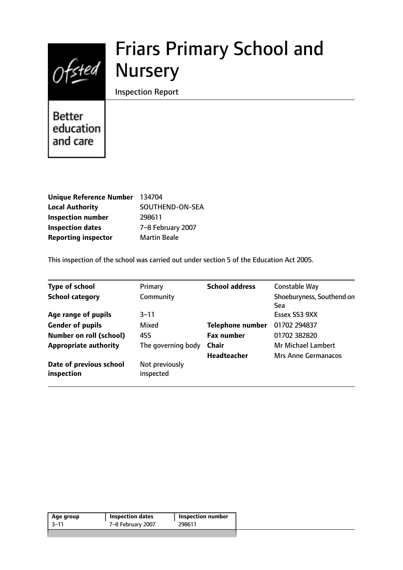# Friars Primary School and **Nursery**

Inspection Report

**Better** education and care

 $Of$ sted

| Unique Reference Number 134704 |                     |
|--------------------------------|---------------------|
| <b>Local Authority</b>         | SOUTHEND-ON-SEA     |
| <b>Inspection number</b>       | 298611              |
| <b>Inspection dates</b>        | 7-8 February 2007   |
| <b>Reporting inspector</b>     | <b>Martin Beale</b> |

This inspection of the school was carried out under section 5 of the Education Act 2005.

| <b>Type of school</b>                 | Primary                     | <b>School address</b>   | Constable Way                    |
|---------------------------------------|-----------------------------|-------------------------|----------------------------------|
| <b>School category</b>                | Community                   |                         | Shoeburyness, Southend on<br>Sea |
| Age range of pupils                   | $3 - 11$                    |                         | Essex SS3 9XX                    |
| <b>Gender of pupils</b>               | Mixed                       | <b>Telephone number</b> | 01702 294837                     |
| <b>Number on roll (school)</b>        | 455                         | <b>Fax number</b>       | 01702 382820                     |
| <b>Appropriate authority</b>          | The governing body          | <b>Chair</b>            | <b>Mr Michael Lambert</b>        |
|                                       |                             | <b>Headteacher</b>      | <b>Mrs Anne Germanacos</b>       |
| Date of previous school<br>inspection | Not previously<br>inspected |                         |                                  |

| -3–11<br>7-8 February 2007<br>298611 | Age group | <b>Inspection dates</b> | Inspection number |
|--------------------------------------|-----------|-------------------------|-------------------|
|                                      |           |                         |                   |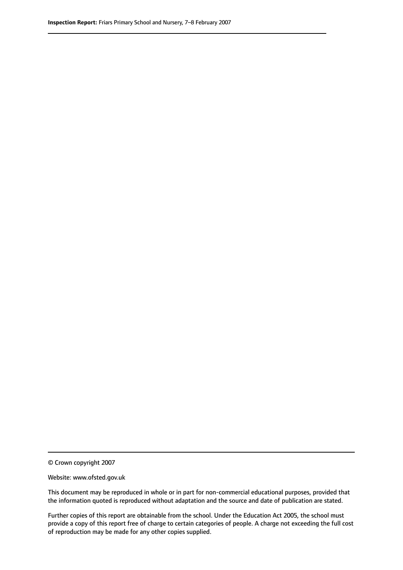© Crown copyright 2007

Website: www.ofsted.gov.uk

This document may be reproduced in whole or in part for non-commercial educational purposes, provided that the information quoted is reproduced without adaptation and the source and date of publication are stated.

Further copies of this report are obtainable from the school. Under the Education Act 2005, the school must provide a copy of this report free of charge to certain categories of people. A charge not exceeding the full cost of reproduction may be made for any other copies supplied.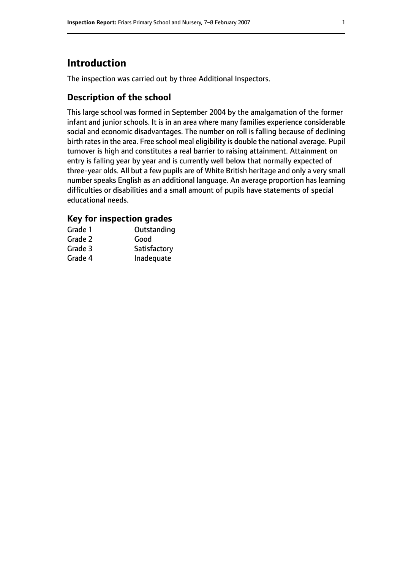# **Introduction**

The inspection was carried out by three Additional Inspectors.

## **Description of the school**

This large school was formed in September 2004 by the amalgamation of the former infant and junior schools. It is in an area where many families experience considerable social and economic disadvantages. The number on roll is falling because of declining birth rates in the area. Free school meal eligibility is double the national average. Pupil turnover is high and constitutes a real barrier to raising attainment. Attainment on entry is falling year by year and is currently well below that normally expected of three-year olds. All but a few pupils are of White British heritage and only a very small number speaks English as an additional language. An average proportion has learning difficulties or disabilities and a small amount of pupils have statements of special educational needs.

#### **Key for inspection grades**

| Grade 1 | Outstanding  |
|---------|--------------|
| Grade 2 | Good         |
| Grade 3 | Satisfactory |
| Grade 4 | Inadequate   |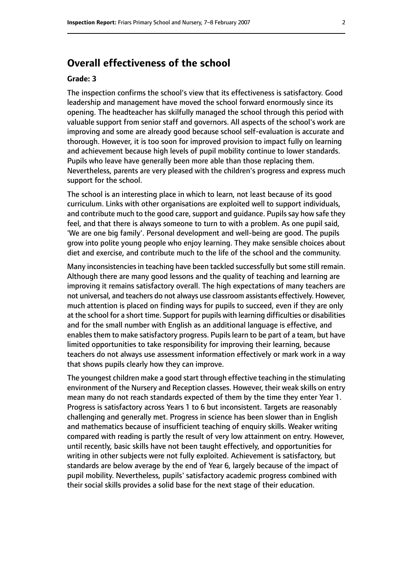# **Overall effectiveness of the school**

#### **Grade: 3**

The inspection confirms the school's view that its effectiveness is satisfactory. Good leadership and management have moved the school forward enormously since its opening. The headteacher has skilfully managed the school through this period with valuable support from senior staff and governors. All aspects of the school's work are improving and some are already good because school self-evaluation is accurate and thorough. However, it is too soon for improved provision to impact fully on learning and achievement because high levels of pupil mobility continue to lower standards. Pupils who leave have generally been more able than those replacing them. Nevertheless, parents are very pleased with the children's progress and express much support for the school.

The school is an interesting place in which to learn, not least because of its good curriculum. Links with other organisations are exploited well to support individuals, and contribute much to the good care, support and guidance. Pupils say how safe they feel, and that there is always someone to turn to with a problem. As one pupil said, 'We are one big family'. Personal development and well-being are good. The pupils grow into polite young people who enjoy learning. They make sensible choices about diet and exercise, and contribute much to the life of the school and the community.

Many inconsistencies in teaching have been tackled successfully but some still remain. Although there are many good lessons and the quality of teaching and learning are improving it remains satisfactory overall. The high expectations of many teachers are not universal, and teachers do not always use classroom assistants effectively. However, much attention is placed on finding ways for pupils to succeed, even if they are only at the school for a short time. Support for pupils with learning difficulties or disabilities and for the small number with English as an additional language is effective, and enables them to make satisfactory progress. Pupils learn to be part of a team, but have limited opportunities to take responsibility for improving their learning, because teachers do not always use assessment information effectively or mark work in a way that shows pupils clearly how they can improve.

The youngest children make a good start through effective teaching in the stimulating environment of the Nursery and Reception classes. However, their weak skills on entry mean many do not reach standards expected of them by the time they enter Year 1. Progress is satisfactory across Years 1 to 6 but inconsistent. Targets are reasonably challenging and generally met. Progress in science has been slower than in English and mathematics because of insufficient teaching of enquiry skills. Weaker writing compared with reading is partly the result of very low attainment on entry. However, until recently, basic skills have not been taught effectively, and opportunities for writing in other subjects were not fully exploited. Achievement is satisfactory, but standards are below average by the end of Year 6, largely because of the impact of pupil mobility. Nevertheless, pupils' satisfactory academic progress combined with their social skills provides a solid base for the next stage of their education.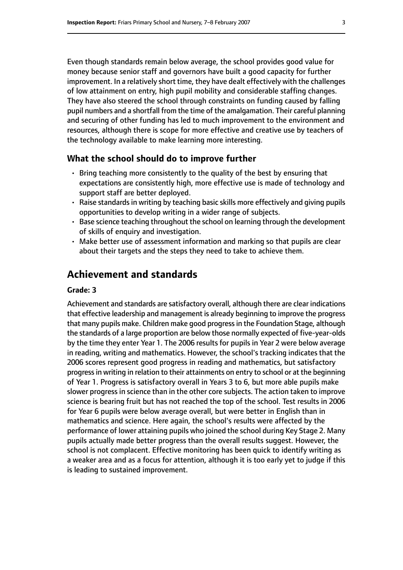Even though standards remain below average, the school provides good value for money because senior staff and governors have built a good capacity for further improvement. In a relatively short time, they have dealt effectively with the challenges of low attainment on entry, high pupil mobility and considerable staffing changes. They have also steered the school through constraints on funding caused by falling pupil numbers and a shortfall from the time of the amalgamation. Their careful planning and securing of other funding has led to much improvement to the environment and resources, although there is scope for more effective and creative use by teachers of the technology available to make learning more interesting.

#### **What the school should do to improve further**

- Bring teaching more consistently to the quality of the best by ensuring that expectations are consistently high, more effective use is made of technology and support staff are better deployed.
- Raise standards in writing by teaching basic skills more effectively and giving pupils opportunities to develop writing in a wider range of subjects.
- Base science teaching throughout the school on learning through the development of skills of enquiry and investigation.
- Make better use of assessment information and marking so that pupils are clear about their targets and the steps they need to take to achieve them.

## **Achievement and standards**

#### **Grade: 3**

Achievement and standards are satisfactory overall, although there are clear indications that effective leadership and management is already beginning to improve the progress that many pupils make. Children make good progressin the Foundation Stage, although the standards of a large proportion are below those normally expected of five-year-olds by the time they enter Year 1. The 2006 results for pupils in Year 2 were below average in reading, writing and mathematics. However, the school's tracking indicates that the 2006 scores represent good progress in reading and mathematics, but satisfactory progressin writing in relation to their attainments on entry to school or at the beginning of Year 1. Progress is satisfactory overall in Years 3 to 6, but more able pupils make slower progress in science than in the other core subjects. The action taken to improve science is bearing fruit but has not reached the top of the school. Test results in 2006 for Year 6 pupils were below average overall, but were better in English than in mathematics and science. Here again, the school's results were affected by the performance of lower attaining pupils who joined the school during Key Stage 2. Many pupils actually made better progress than the overall results suggest. However, the school is not complacent. Effective monitoring has been quick to identify writing as a weaker area and as a focus for attention, although it is too early yet to judge if this is leading to sustained improvement.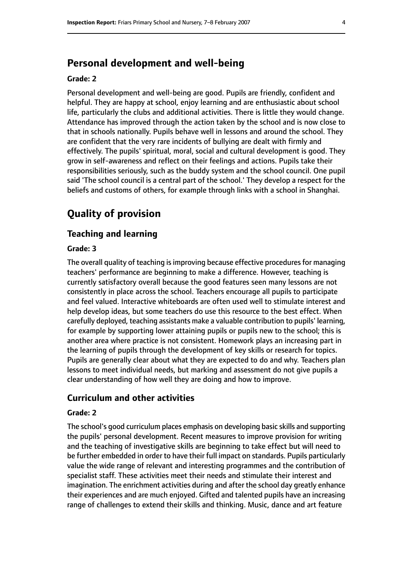# **Personal development and well-being**

#### **Grade: 2**

Personal development and well-being are good. Pupils are friendly, confident and helpful. They are happy at school, enjoy learning and are enthusiastic about school life, particularly the clubs and additional activities. There is little they would change. Attendance has improved through the action taken by the school and is now close to that in schools nationally. Pupils behave well in lessons and around the school. They are confident that the very rare incidents of bullying are dealt with firmly and effectively. The pupils' spiritual, moral, social and cultural development is good. They grow in self-awareness and reflect on their feelings and actions. Pupils take their responsibilities seriously, such as the buddy system and the school council. One pupil said 'The school council is a central part of the school.' They develop a respect for the beliefs and customs of others, for example through links with a school in Shanghai.

# **Quality of provision**

#### **Teaching and learning**

#### **Grade: 3**

The overall quality of teaching is improving because effective procedures for managing teachers' performance are beginning to make a difference. However, teaching is currently satisfactory overall because the good features seen many lessons are not consistently in place across the school. Teachers encourage all pupils to participate and feel valued. Interactive whiteboards are often used well to stimulate interest and help develop ideas, but some teachers do use this resource to the best effect. When carefully deployed, teaching assistants make a valuable contribution to pupils' learning, for example by supporting lower attaining pupils or pupils new to the school; this is another area where practice is not consistent. Homework plays an increasing part in the learning of pupils through the development of key skills or research for topics. Pupils are generally clear about what they are expected to do and why. Teachers plan lessons to meet individual needs, but marking and assessment do not give pupils a clear understanding of how well they are doing and how to improve.

#### **Curriculum and other activities**

#### **Grade: 2**

The school's good curriculum places emphasis on developing basic skills and supporting the pupils' personal development. Recent measures to improve provision for writing and the teaching of investigative skills are beginning to take effect but will need to be further embedded in order to have their full impact on standards. Pupils particularly value the wide range of relevant and interesting programmes and the contribution of specialist staff. These activities meet their needs and stimulate their interest and imagination. The enrichment activities during and after the school day greatly enhance their experiences and are much enjoyed. Gifted and talented pupils have an increasing range of challenges to extend their skills and thinking. Music, dance and art feature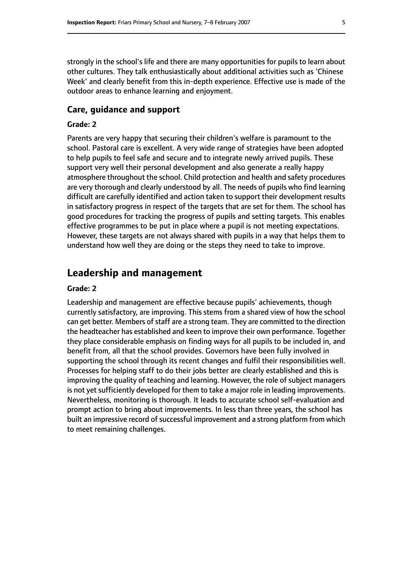strongly in the school's life and there are many opportunities for pupils to learn about other cultures. They talk enthusiastically about additional activities such as 'Chinese Week' and clearly benefit from this in-depth experience. Effective use is made of the outdoor areas to enhance learning and enjoyment.

#### **Care, guidance and support**

#### **Grade: 2**

Parents are very happy that securing their children's welfare is paramount to the school. Pastoral care is excellent. A very wide range of strategies have been adopted to help pupils to feel safe and secure and to integrate newly arrived pupils. These support very well their personal development and also generate a really happy atmosphere throughout the school. Child protection and health and safety procedures are very thorough and clearly understood by all. The needs of pupils who find learning difficult are carefully identified and action taken to support their development results in satisfactory progress in respect of the targets that are set for them. The school has good procedures for tracking the progress of pupils and setting targets. This enables effective programmes to be put in place where a pupil is not meeting expectations. However, these targets are not always shared with pupils in a way that helps them to understand how well they are doing or the steps they need to take to improve.

### **Leadership and management**

#### **Grade: 2**

Leadership and management are effective because pupils' achievements, though currently satisfactory, are improving. This stems from a shared view of how the school can get better. Members of staff are a strong team. They are committed to the direction the headteacher has established and keen to improve their own performance. Together they place considerable emphasis on finding ways for all pupils to be included in, and benefit from, all that the school provides. Governors have been fully involved in supporting the school through its recent changes and fulfil their responsibilities well. Processes for helping staff to do their jobs better are clearly established and this is improving the quality of teaching and learning. However, the role of subject managers is not yet sufficiently developed for them to take a major role in leading improvements. Nevertheless, monitoring is thorough. It leads to accurate school self-evaluation and prompt action to bring about improvements. In less than three years, the school has built an impressive record of successful improvement and a strong platform from which to meet remaining challenges.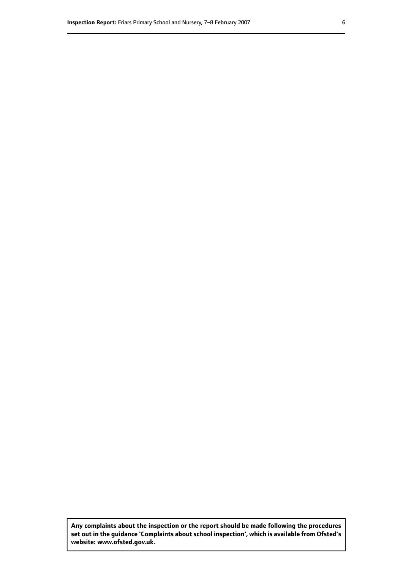**Any complaints about the inspection or the report should be made following the procedures set out inthe guidance 'Complaints about school inspection', whichis available from Ofsted's website: www.ofsted.gov.uk.**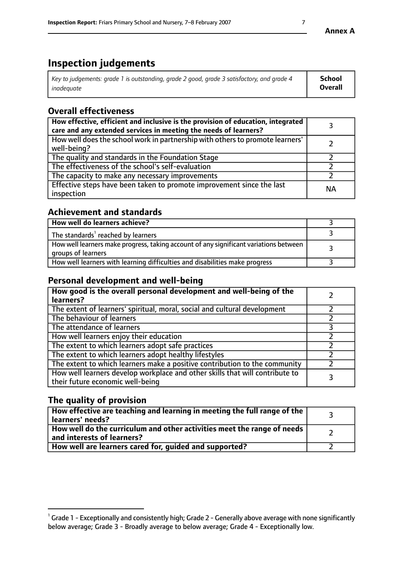# **Inspection judgements**

| Key to judgements: grade 1 is outstanding, grade 2 good, grade 3 satisfactory, and grade 4 | School  |
|--------------------------------------------------------------------------------------------|---------|
| inadeauate                                                                                 | Overall |

# **Overall effectiveness**

| How effective, efficient and inclusive is the provision of education, integrated<br>care and any extended services in meeting the needs of learners? |           |
|------------------------------------------------------------------------------------------------------------------------------------------------------|-----------|
| How well does the school work in partnership with others to promote learners'<br>well-being?                                                         |           |
| The quality and standards in the Foundation Stage                                                                                                    |           |
| The effectiveness of the school's self-evaluation                                                                                                    |           |
| The capacity to make any necessary improvements                                                                                                      |           |
| Effective steps have been taken to promote improvement since the last<br>inspection                                                                  | <b>NA</b> |

## **Achievement and standards**

| How well do learners achieve?                                                                               |  |
|-------------------------------------------------------------------------------------------------------------|--|
| The standards <sup>1</sup> reached by learners                                                              |  |
| How well learners make progress, taking account of any significant variations between<br>groups of learners |  |
| How well learners with learning difficulties and disabilities make progress                                 |  |

# **Personal development and well-being**

| How good is the overall personal development and well-being of the<br>learners?                                  |  |
|------------------------------------------------------------------------------------------------------------------|--|
| The extent of learners' spiritual, moral, social and cultural development                                        |  |
| The behaviour of learners                                                                                        |  |
| The attendance of learners                                                                                       |  |
| How well learners enjoy their education                                                                          |  |
| The extent to which learners adopt safe practices                                                                |  |
| The extent to which learners adopt healthy lifestyles                                                            |  |
| The extent to which learners make a positive contribution to the community                                       |  |
| How well learners develop workplace and other skills that will contribute to<br>their future economic well-being |  |

# **The quality of provision**

| $\Box$ How effective are teaching and learning in meeting the full range of the $\Box$<br>  learners' needs?        |  |
|---------------------------------------------------------------------------------------------------------------------|--|
| $\mid$ How well do the curriculum and other activities meet the range of needs<br>$\mid$ and interests of learners? |  |
| How well are learners cared for, guided and supported?                                                              |  |

 $^1$  Grade 1 - Exceptionally and consistently high; Grade 2 - Generally above average with none significantly below average; Grade 3 - Broadly average to below average; Grade 4 - Exceptionally low.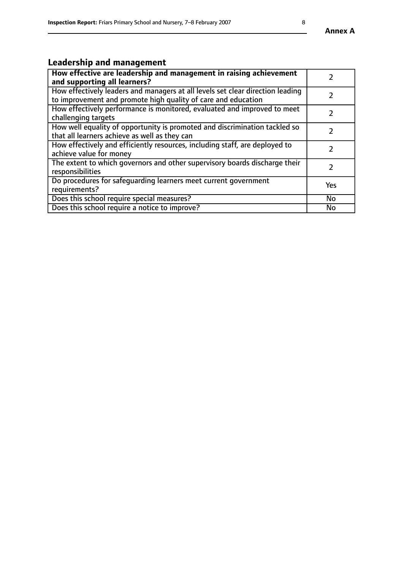# **Leadership and management**

| How effective are leadership and management in raising achievement<br>and supporting all learners?                                              |               |
|-------------------------------------------------------------------------------------------------------------------------------------------------|---------------|
| How effectively leaders and managers at all levels set clear direction leading<br>to improvement and promote high quality of care and education |               |
| How effectively performance is monitored, evaluated and improved to meet<br>challenging targets                                                 | $\mathcal{L}$ |
| How well equality of opportunity is promoted and discrimination tackled so<br>that all learners achieve as well as they can                     |               |
| How effectively and efficiently resources, including staff, are deployed to<br>achieve value for money                                          | $\mathcal{L}$ |
| The extent to which governors and other supervisory boards discharge their<br>responsibilities                                                  |               |
| Do procedures for safequarding learners meet current government<br>requirements?                                                                | Yes           |
| Does this school require special measures?                                                                                                      | No            |
| Does this school require a notice to improve?                                                                                                   | <b>No</b>     |